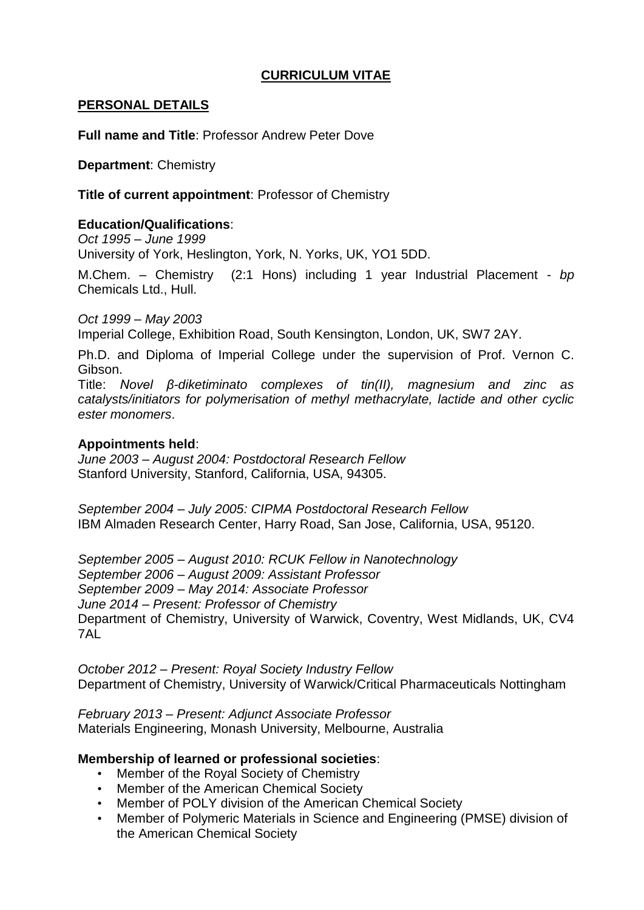### **CURRICULUM VITAE**

#### **PERSONAL DETAILS**

**Full name and Title**: Professor Andrew Peter Dove

**Department**: Chemistry

**Title of current appointment**: Professor of Chemistry

### **Education/Qualifications**:

*Oct 1995 – June 1999* University of York, Heslington, York, N. Yorks, UK, YO1 5DD.

M.Chem. – Chemistry (2:1 Hons) including 1 year Industrial Placement - *bp* Chemicals Ltd., Hull.

*Oct 1999 – May 2003* Imperial College, Exhibition Road, South Kensington, London, UK, SW7 2AY.

Ph.D. and Diploma of Imperial College under the supervision of Prof. Vernon C. Gibson.

Title: *Novel β-diketiminato complexes of tin(II), magnesium and zinc as catalysts/initiators for polymerisation of methyl methacrylate, lactide and other cyclic ester monomers*.

#### **Appointments held**:

*June 2003 – August 2004: Postdoctoral Research Fellow* Stanford University, Stanford, California, USA, 94305.

*September 2004 – July 2005: CIPMA Postdoctoral Research Fellow* IBM Almaden Research Center, Harry Road, San Jose, California, USA, 95120.

*September 2005 – August 2010: RCUK Fellow in Nanotechnology September 2006 – August 2009: Assistant Professor September 2009 – May 2014: Associate Professor June 2014 – Present: Professor of Chemistry* Department of Chemistry, University of Warwick, Coventry, West Midlands, UK, CV4 7AL

*October 2012 – Present: Royal Society Industry Fellow* Department of Chemistry, University of Warwick/Critical Pharmaceuticals Nottingham

*February 2013 – Present: Adjunct Associate Professor* Materials Engineering, Monash University, Melbourne, Australia

#### **Membership of learned or professional societies**:

- Member of the Royal Society of Chemistry
- Member of the American Chemical Society
- Member of POLY division of the American Chemical Society
- Member of Polymeric Materials in Science and Engineering (PMSE) division of the American Chemical Society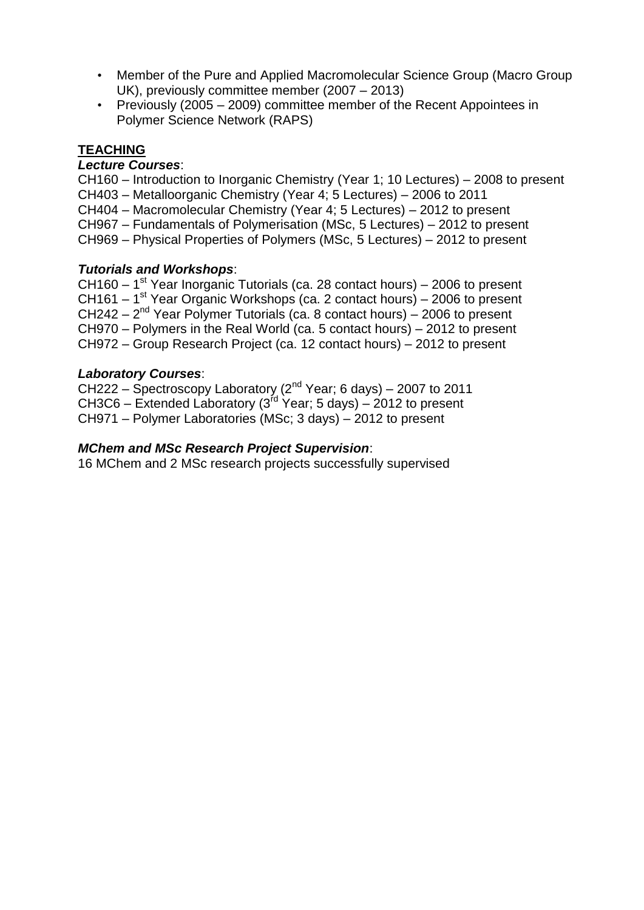- Member of the Pure and Applied Macromolecular Science Group (Macro Group UK), previously committee member (2007 – 2013)
- Previously (2005 2009) committee member of the Recent Appointees in Polymer Science Network (RAPS)

### **TEACHING**

### *Lecture Courses*:

CH160 – Introduction to Inorganic Chemistry (Year 1; 10 Lectures) – 2008 to present

- CH403 Metalloorganic Chemistry (Year 4; 5 Lectures) 2006 to 2011
- CH404 Macromolecular Chemistry (Year 4; 5 Lectures) 2012 to present
- CH967 Fundamentals of Polymerisation (MSc, 5 Lectures) 2012 to present

CH969 – Physical Properties of Polymers (MSc, 5 Lectures) – 2012 to present

#### *Tutorials and Workshops*:

 $CH160 - 1<sup>st</sup>$  Year Inorganic Tutorials (ca. 28 contact hours) – 2006 to present CH161 –  $1<sup>st</sup>$  Year Organic Workshops (ca. 2 contact hours) – 2006 to present  $CH242 - 2<sup>nd</sup>$  Year Polymer Tutorials (ca. 8 contact hours) – 2006 to present CH970 – Polymers in the Real World (ca. 5 contact hours) – 2012 to present CH972 – Group Research Project (ca. 12 contact hours) – 2012 to present

#### *Laboratory Courses*:

CH222 – Spectroscopy Laboratory ( $2^{nd}$  Year; 6 days) – 2007 to 2011 CH3C6 – Extended Laboratory (3rd Year; 5 days) – 2012 to present CH971 – Polymer Laboratories (MSc; 3 days) – 2012 to present

#### *MChem and MSc Research Project Supervision*:

16 MChem and 2 MSc research projects successfully supervised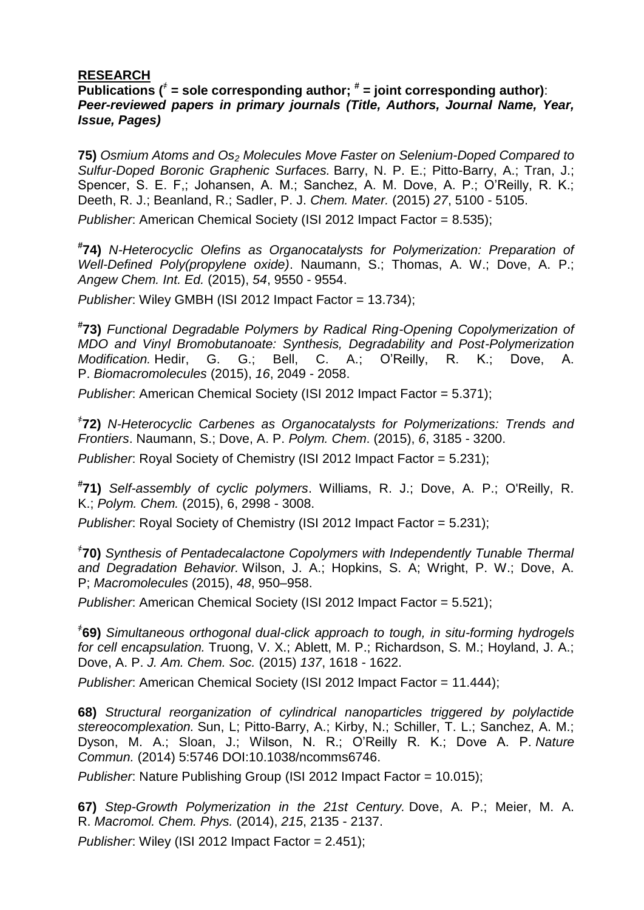### **RESEARCH**

#### $\overline{\text{Publications}}$   $\binom{*}{\text{#}}$  = sole corresponding author;  $\text{#}$  = joint corresponding author): *Peer-reviewed papers in primary journals (Title, Authors, Journal Name, Year, Issue, Pages)*

**75)** *Osmium Atoms and Os<sup>2</sup> Molecules Move Faster on Selenium-Doped Compared to Sulfur-Doped Boronic Graphenic Surfaces.* Barry, N. P. E.; Pitto-Barry, A.; Tran, J.; Spencer, S. E. F,; Johansen, A. M.; Sanchez, A. M. Dove, A. P.; O'Reilly, R. K.; Deeth, R. J.; Beanland, R.; Sadler, P. J. *Chem. Mater.* (2015) *27*, 5100 - 5105.

*Publisher*: American Chemical Society (ISI 2012 Impact Factor = 8.535);

**# 74)** *N-Heterocyclic Olefins as Organocatalysts for Polymerization: Preparation of Well-Defined Poly(propylene oxide)*. Naumann, S.; Thomas, A. W.; Dove, A. P.; *Angew Chem. Int. Ed.* (2015), *54*, 9550 - 9554.

*Publisher*: Wiley GMBH (ISI 2012 Impact Factor = 13.734);

**# 73)** *Functional Degradable Polymers by Radical Ring-Opening Copolymerization of MDO and Vinyl Bromobutanoate: Synthesis, Degradability and Post-Polymerization Modification.* Hedir, G. G.; Bell, C. A.; O'Reilly, R. K.; Dove, A. P. *Biomacromolecules* (2015), *16*, 2049 - 2058.

*Publisher*: American Chemical Society (ISI 2012 Impact Factor = 5.371);

҂ **72)** *N-Heterocyclic Carbenes as Organocatalysts for Polymerizations: Trends and Frontiers*. Naumann, S.; Dove, A. P. *Polym. Chem*. (2015), *6*, 3185 - 3200.

*Publisher*: Royal Society of Chemistry (ISI 2012 Impact Factor = 5.231);

**# 71)** *Self-assembly of cyclic polymers*. Williams, R. J.; Dove, A. P.; O'Reilly, R. K.; *Polym. Chem.* (2015), 6, 2998 - 3008.

*Publisher*: Royal Society of Chemistry (ISI 2012 Impact Factor = 5.231);

҂ **70)** *Synthesis of Pentadecalactone Copolymers with Independently Tunable Thermal and Degradation Behavior.* Wilson, J. A.; Hopkins, S. A; Wright, P. W.; Dove, A. P; *Macromolecules* (2015), *48*, 950–958.

*Publisher*: American Chemical Society (ISI 2012 Impact Factor = 5.521);

҂ **69)** *Simultaneous orthogonal dual-click approach to tough, in situ-forming hydrogels for cell encapsulation.* Truong, V. X.; Ablett, M. P.; Richardson, S. M.; Hoyland, J. A.; Dove, A. P. *J. Am. Chem. Soc.* (2015) *137*, 1618 - 1622.

*Publisher*: American Chemical Society (ISI 2012 Impact Factor = 11.444);

**68)** *Structural reorganization of cylindrical nanoparticles triggered by polylactide stereocomplexation.* Sun, L; Pitto-Barry, A.; Kirby, N.; Schiller, T. L.; Sanchez, A. M.; Dyson, M. A.; Sloan, J.; Wilson, N. R.; O'Reilly R. K.; Dove A. P. *Nature Commun.* (2014) 5:5746 DOI:10.1038/ncomms6746.

*Publisher*: Nature Publishing Group (ISI 2012 Impact Factor = 10.015);

**67)** *Step-Growth Polymerization in the 21st Century.* Dove, A. P.; Meier, M. A. R. *Macromol. Chem. Phys.* (2014), *215*, 2135 - 2137.

*Publisher*: Wiley (ISI 2012 Impact Factor = 2.451);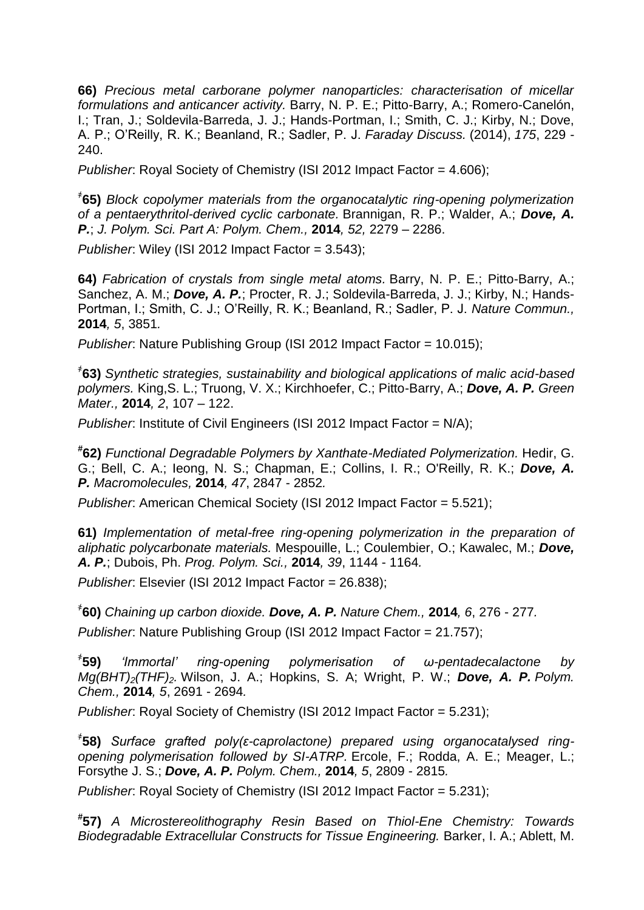**66)** *Precious metal carborane polymer nanoparticles: characterisation of micellar formulations and anticancer activity.* Barry, N. P. E.; Pitto-Barry, A.; Romero-Canelón, I.; Tran, J.; Soldevila-Barreda, J. J.; Hands-Portman, I.; Smith, C. J.; Kirby, N.; Dove, A. P.; O'Reilly, R. K.; Beanland, R.; Sadler, P. J. *Faraday Discuss.* (2014), *175*, 229 - 240.

*Publisher*: Royal Society of Chemistry (ISI 2012 Impact Factor = 4.606);

҂ **65)** *Block copolymer materials from the organocatalytic ring-opening polymerization of a pentaerythritol-derived cyclic carbonate.* Brannigan, R. P.; Walder, A.; *Dove, A. P.*; *J. Polym. Sci. Part A: Polym. Chem.,* **2014***, 52,* 2279 – 2286.

*Publisher*: Wiley (ISI 2012 Impact Factor = 3.543);

**64)** *Fabrication of crystals from single metal atoms.* Barry, N. P. E.; Pitto-Barry, A.; Sanchez, A. M.; *Dove, A. P.*; Procter, R. J.; Soldevila-Barreda, J. J.; Kirby, N.; Hands-Portman, I.; Smith, C. J.; O'Reilly, R. K.; Beanland, R.; Sadler, P. J. *Nature Commun.,*  **2014***, 5*, 3851*.*

*Publisher*: Nature Publishing Group (ISI 2012 Impact Factor = 10.015);

҂ **63)** *Synthetic strategies, sustainability and biological applications of malic acid-based polymers.* King,S. L.; Truong, V. X.; Kirchhoefer, C.; Pitto-Barry, A.; *Dove, A. P. Green Mater.,* **2014***, 2*, 107 – 122.

*Publisher*: Institute of Civil Engineers (ISI 2012 Impact Factor = N/A);

**# 62)** *Functional Degradable Polymers by Xanthate-Mediated Polymerization.* Hedir, G. G.; Bell, C. A.; Ieong, N. S.; Chapman, E.; Collins, I. R.; O'Reilly, R. K.; *Dove, A. P. Macromolecules,* **2014***, 47*, 2847 - 2852*.*

*Publisher*: American Chemical Society (ISI 2012 Impact Factor = 5.521);

**61)** *Implementation of metal-free ring-opening polymerization in the preparation of aliphatic polycarbonate materials.* Mespouille, L.; Coulembier, O.; Kawalec, M.; *Dove, A. P.*; Dubois, Ph. *Prog. Polym. Sci.,* **2014***, 39*, 1144 - 1164*.*

*Publisher*: Elsevier (ISI 2012 Impact Factor = 26.838);

҂ **60)** *Chaining up carbon dioxide. Dove, A. P. Nature Chem.,* **2014***, 6*, 276 - 277*.*

*Publisher*: Nature Publishing Group (ISI 2012 Impact Factor = 21.757);

 $*$ 59) **59)** *'Immortal' ring-opening polymerisation of ω-pentadecalactone by Mg(BHT)2(THF)2.* Wilson, J. A.; Hopkins, S. A; Wright, P. W.; *Dove, A. P. Polym. Chem.,* **2014***, 5*, 2691 - 2694*.*

*Publisher*: Royal Society of Chemistry (ISI 2012 Impact Factor = 5.231);

҂ **58)** *Surface grafted poly(ε-caprolactone) prepared using organocatalysed ringopening polymerisation followed by SI-ATRP.* Ercole, F.; Rodda, A. E.; Meager, L.; Forsythe J. S.; *Dove, A. P. Polym. Chem.,* **2014***, 5*, 2809 - 2815*.*

*Publisher*: Royal Society of Chemistry (ISI 2012 Impact Factor = 5.231);

**# 57)** *A Microstereolithography Resin Based on Thiol-Ene Chemistry: Towards Biodegradable Extracellular Constructs for Tissue Engineering.* Barker, I. A.; Ablett, M.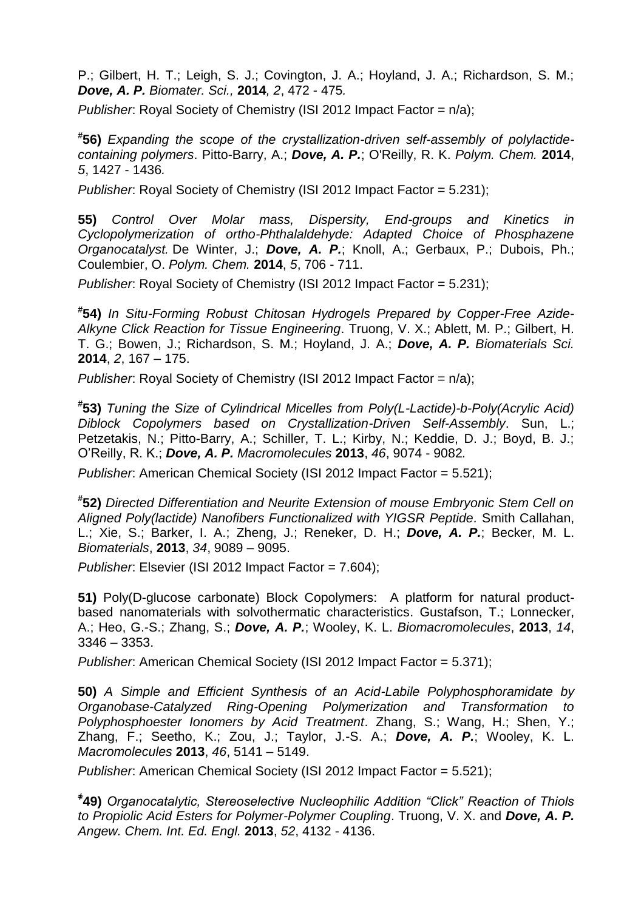P.; Gilbert, H. T.; Leigh, S. J.; Covington, J. A.; Hoyland, J. A.; Richardson, S. M.; *Dove, A. P. Biomater. Sci.,* **2014***, 2*, 472 - 475*.*

*Publisher*: Royal Society of Chemistry (ISI 2012 Impact Factor = n/a);

**# 56)** *Expanding the scope of the crystallization-driven self-assembly of polylactidecontaining polymers*. Pitto-Barry, A.; *Dove, A. P.*; O'Reilly, R. K. *Polym. Chem.* **2014**, *5*, 1427 - 1436*.*

*Publisher*: Royal Society of Chemistry (ISI 2012 Impact Factor = 5.231);

**55)** *Control Over Molar mass, Dispersity, End-groups and Kinetics in Cyclopolymerization of ortho-Phthalaldehyde: Adapted Choice of Phosphazene Organocatalyst.* De Winter, J.; *Dove, A. P.*; Knoll, A.; Gerbaux, P.; Dubois, Ph.; Coulembier, O. *Polym. Chem.* **2014**, *5*, 706 - 711.

*Publisher*: Royal Society of Chemistry (ISI 2012 Impact Factor = 5.231);

**# 54)** *In Situ-Forming Robust Chitosan Hydrogels Prepared by Copper-Free Azide-Alkyne Click Reaction for Tissue Engineering*. Truong, V. X.; Ablett, M. P.; Gilbert, H. T. G.; Bowen, J.; Richardson, S. M.; Hoyland, J. A.; *Dove, A. P. Biomaterials Sci.* **2014**, *2*, 167 – 175.

*Publisher*: Royal Society of Chemistry (ISI 2012 Impact Factor = n/a);

**# 53)** *Tuning the Size of Cylindrical Micelles from Poly(L-Lactide)-b-Poly(Acrylic Acid) Diblock Copolymers based on Crystallization-Driven Self-Assembly*. Sun, L.; Petzetakis, N.; Pitto-Barry, A.; Schiller, T. L.; Kirby, N.; Keddie, D. J.; Boyd, B. J.; O'Reilly, R. K.; *Dove, A. P. Macromolecules* **2013**, *46*, 9074 - 9082*.*

*Publisher*: American Chemical Society (ISI 2012 Impact Factor = 5.521);

**# 52)** *Directed Differentiation and Neurite Extension of mouse Embryonic Stem Cell on Aligned Poly(lactide) Nanofibers Functionalized with YIGSR Peptide.* Smith Callahan, L.; Xie, S.; Barker, I. A.; Zheng, J.; Reneker, D. H.; *Dove, A. P.*; Becker, M. L. *Biomaterials*, **2013**, *34*, 9089 – 9095.

*Publisher*: Elsevier (ISI 2012 Impact Factor = 7.604);

**51)** Poly(D-glucose carbonate) Block Copolymers: A platform for natural productbased nanomaterials with solvothermatic characteristics. Gustafson, T.; Lonnecker, A.; Heo, G.-S.; Zhang, S.; *Dove, A. P.*; Wooley, K. L. *Biomacromolecules*, **2013**, *14*, 3346 – 3353.

*Publisher*: American Chemical Society (ISI 2012 Impact Factor = 5.371);

**50)** *A Simple and Efficient Synthesis of an Acid-Labile Polyphosphoramidate by Organobase-Catalyzed Ring-Opening Polymerization and Transformation to Polyphosphoester Ionomers by Acid Treatment*. Zhang, S.; Wang, H.; Shen, Y.; Zhang, F.; Seetho, K.; Zou, J.; Taylor, J.-S. A.; *Dove, A. P.*; Wooley, K. L. *Macromolecules* **2013**, *46*, 5141 – 5149.

*Publisher*: American Chemical Society (ISI 2012 Impact Factor = 5.521);

**҂ 49)** *Organocatalytic, Stereoselective Nucleophilic Addition "Click" Reaction of Thiols to Propiolic Acid Esters for Polymer-Polymer Coupling*. Truong, V. X. and *Dove, A. P. Angew. Chem. Int. Ed. Engl.* **2013**, *52*, 4132 - 4136.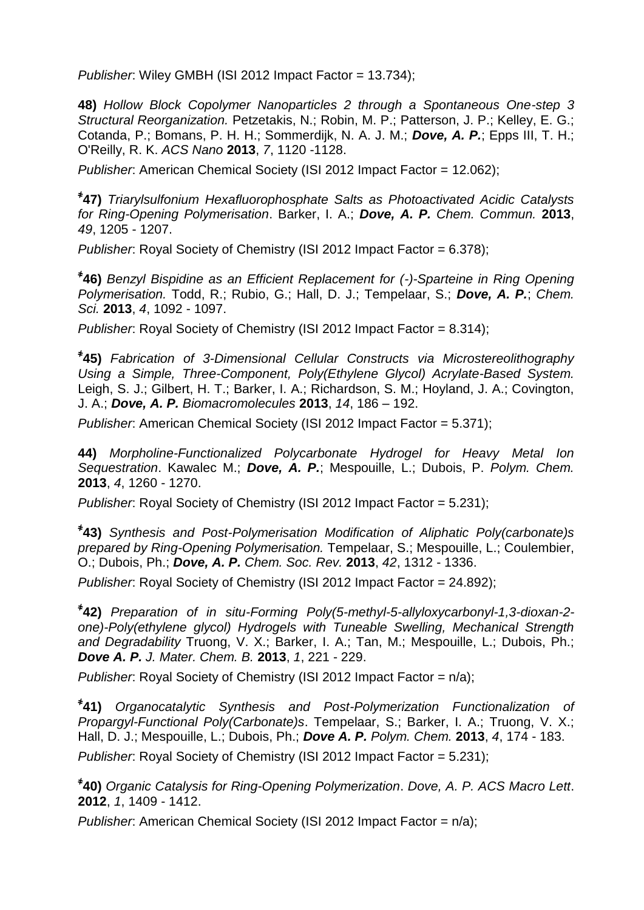*Publisher*: Wiley GMBH (ISI 2012 Impact Factor = 13.734);

**48)** *Hollow Block Copolymer Nanoparticles 2 through a Spontaneous One-step 3 Structural Reorganization.* Petzetakis, N.; Robin, M. P.; Patterson, J. P.; Kelley, E. G.; Cotanda, P.; Bomans, P. H. H.; Sommerdijk, N. A. J. M.; *Dove, A. P.*; Epps III, T. H.; O'Reilly, R. K. *ACS Nano* **2013**, *7*, 1120 -1128.

*Publisher*: American Chemical Society (ISI 2012 Impact Factor = 12.062);

**҂ 47)** *Triarylsulfonium Hexafluorophosphate Salts as Photoactivated Acidic Catalysts for Ring-Opening Polymerisation*. Barker, I. A.; *Dove, A. P. Chem. Commun.* **2013**, *49*, 1205 - 1207.

*Publisher*: Royal Society of Chemistry (ISI 2012 Impact Factor = 6.378);

**҂ 46)** *Benzyl Bispidine as an Efficient Replacement for (-)-Sparteine in Ring Opening Polymerisation.* Todd, R.; Rubio, G.; Hall, D. J.; Tempelaar, S.; *Dove, A. P.*; *Chem. Sci.* **2013**, *4*, 1092 - 1097.

*Publisher*: Royal Society of Chemistry (ISI 2012 Impact Factor = 8.314);

**҂ 45)** *Fabrication of 3-Dimensional Cellular Constructs via Microstereolithography Using a Simple, Three-Component, Poly(Ethylene Glycol) Acrylate-Based System.* Leigh, S. J.; Gilbert, H. T.; Barker, I. A.; Richardson, S. M.; Hoyland, J. A.; Covington, J. A.; *Dove, A. P. Biomacromolecules* **2013**, *14*, 186 – 192.

*Publisher*: American Chemical Society (ISI 2012 Impact Factor = 5.371);

**44)** *Morpholine-Functionalized Polycarbonate Hydrogel for Heavy Metal Ion Sequestration*. Kawalec M.; *Dove, A. P.*; Mespouille, L.; Dubois, P. *Polym. Chem.* **2013**, *4*, 1260 - 1270.

*Publisher*: Royal Society of Chemistry (ISI 2012 Impact Factor = 5.231);

**҂ 43)** *Synthesis and Post-Polymerisation Modification of Aliphatic Poly(carbonate)s prepared by Ring-Opening Polymerisation.* Tempelaar, S.; Mespouille, L.; Coulembier, O.; Dubois, Ph.; *Dove, A. P. Chem. Soc. Rev.* **2013**, *42*, 1312 - 1336.

*Publisher*: Royal Society of Chemistry (ISI 2012 Impact Factor = 24.892);

**҂ 42)** *Preparation of in situ-Forming Poly(5-methyl-5-allyloxycarbonyl-1,3-dioxan-2 one)-Poly(ethylene glycol) Hydrogels with Tuneable Swelling, Mechanical Strength and Degradability* Truong, V. X.; Barker, I. A.; Tan, M.; Mespouille, L.; Dubois, Ph.; *Dove A. P. J. Mater. Chem. B.* **2013**, *1*, 221 - 229.

*Publisher*: Royal Society of Chemistry (ISI 2012 Impact Factor = n/a);

**҂ 41)** *Organocatalytic Synthesis and Post-Polymerization Functionalization of Propargyl-Functional Poly(Carbonate)s*. Tempelaar, S.; Barker, I. A.; Truong, V. X.; Hall, D. J.; Mespouille, L.; Dubois, Ph.; *Dove A. P. Polym. Chem.* **2013**, *4*, 174 - 183. *Publisher*: Royal Society of Chemistry (ISI 2012 Impact Factor = 5.231);

**҂ 40)** *Organic Catalysis for Ring-Opening Polymerization*. *Dove, A. P. ACS Macro Lett*. **2012**, *1*, 1409 - 1412.

*Publisher*: American Chemical Society (ISI 2012 Impact Factor = n/a);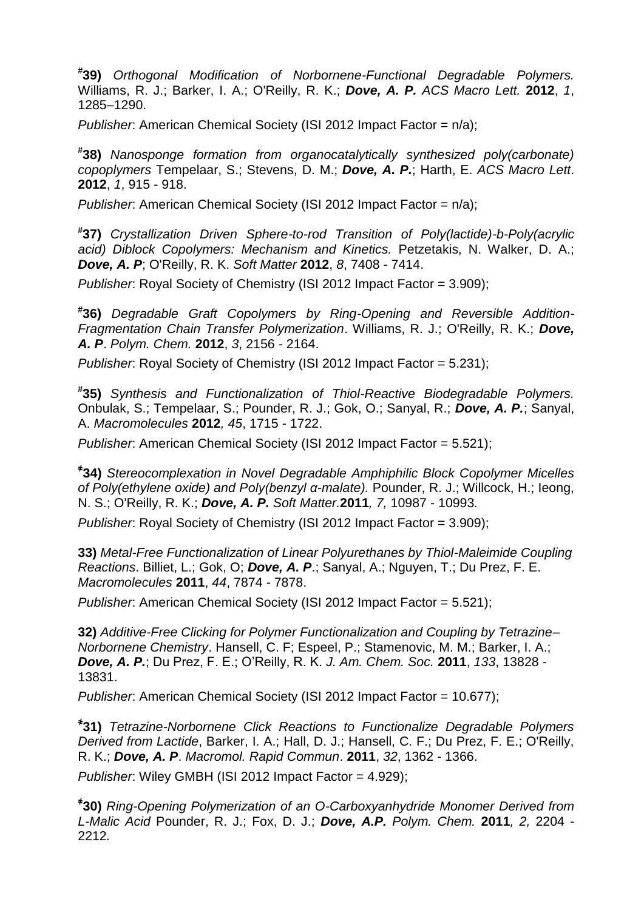**# 39)** *Orthogonal Modification of Norbornene-Functional Degradable Polymers.* Williams, R. J.; Barker, I. A.; O'Reilly, R. K.; *Dove, A. P. ACS Macro Lett.* **2012**, *1*, 1285–1290.

*Publisher*: American Chemical Society (ISI 2012 Impact Factor = n/a);

**# 38)** *Nanosponge formation from organocatalytically synthesized poly(carbonate) copoplymers* Tempelaar, S.; Stevens, D. M.; *Dove, A. P.*; Harth, E. *ACS Macro Lett*. **2012**, *1*, 915 - 918.

*Publisher*: American Chemical Society (ISI 2012 Impact Factor = n/a);

**# 37)** *Crystallization Driven Sphere-to-rod Transition of Poly(lactide)-b-Poly(acrylic acid) Diblock Copolymers: Mechanism and Kinetics.* Petzetakis, N. Walker, D. A.; *Dove, A. P*; O'Reilly, R. K. *Soft Matter* **2012**, *8*, 7408 - 7414.

*Publisher*: Royal Society of Chemistry (ISI 2012 Impact Factor = 3.909);

**# 36)** *Degradable Graft Copolymers by Ring-Opening and Reversible Addition-Fragmentation Chain Transfer Polymerization*. Williams, R. J.; O'Reilly, R. K.; *Dove, A. P*. *Polym. Chem.* **2012**, *3*, 2156 - 2164.

*Publisher*: Royal Society of Chemistry (ISI 2012 Impact Factor = 5.231);

**# 35)** *Synthesis and Functionalization of Thiol-Reactive Biodegradable Polymers.*  Onbulak, S.; Tempelaar, S.; Pounder, R. J.; Gok, O.; Sanyal, R.; *Dove, A. P.*; Sanyal, A. *Macromolecules* **2012***, 45*, 1715 - 1722.

*Publisher*: American Chemical Society (ISI 2012 Impact Factor = 5.521);

**҂ 34)** *Stereocomplexation in Novel Degradable Amphiphilic Block Copolymer Micelles of Poly(ethylene oxide) and Poly(benzyl α-malate).* Pounder, R. J.; Willcock, H.; Ieong, N. S.; O'Reilly, R. K.; *Dove, A. P. Soft Matter.***2011***, 7,* 10987 - 10993*.*

*Publisher*: Royal Society of Chemistry (ISI 2012 Impact Factor = 3.909);

**33)** *Metal-Free Functionalization of Linear Polyurethanes by Thiol-Maleimide Coupling Reactions*. Billiet, L.; Gok, O; *Dove, A. P*.; Sanyal, A.; Nguyen, T.; Du Prez, F. E. *Macromolecules* **2011**, *44*, 7874 - 7878.

*Publisher*: American Chemical Society (ISI 2012 Impact Factor = 5.521);

**32)** *Additive-Free Clicking for Polymer Functionalization and Coupling by Tetrazine– Norbornene Chemistry*. Hansell, C. F; Espeel, P.; Stamenovic, M. M.; Barker, I. A.; *Dove, A. P.*; Du Prez, F. E.; O'Reilly, R. K. *J. Am. Chem. Soc.* **2011**, *133*, 13828 - 13831.

*Publisher*: American Chemical Society (ISI 2012 Impact Factor = 10.677);

**҂ 31)** *Tetrazine-Norbornene Click Reactions to Functionalize Degradable Polymers Derived from Lactide*, Barker, I. A.; Hall, D. J.; Hansell, C. F.; Du Prez, F. E.; O'Reilly, R. K.; *Dove, A. P*. *Macromol. Rapid Commun*. **2011**, *32*, 1362 - 1366.

*Publisher*: Wiley GMBH (ISI 2012 Impact Factor = 4.929);

**҂ 30)** *Ring-Opening Polymerization of an O-Carboxyanhydride Monomer Derived from L-Malic Acid* Pounder, R. J.; Fox, D. J.; *Dove, A.P. Polym. Chem.* **2011***, 2,* 2204 - 2212*.*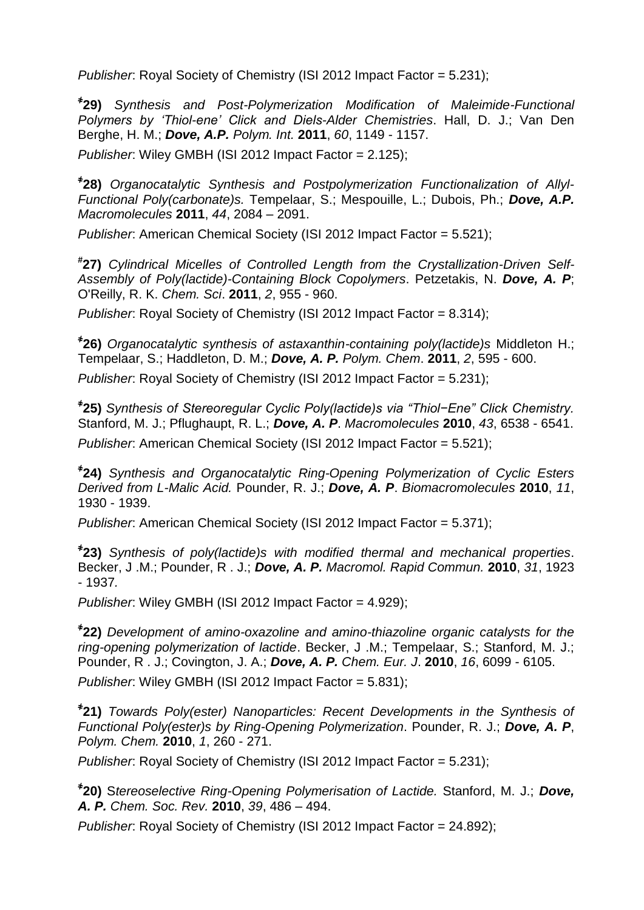*Publisher*: Royal Society of Chemistry (ISI 2012 Impact Factor = 5.231);

**҂ 29)** *Synthesis and Post-Polymerization Modification of Maleimide-Functional Polymers by 'Thiol-ene' Click and Diels-Alder Chemistries*. Hall, D. J.; Van Den Berghe, H. M.; *Dove, A.P. Polym. Int.* **2011**, *60*, 1149 - 1157.

*Publisher*: Wiley GMBH (ISI 2012 Impact Factor = 2.125);

**҂ 28)** *Organocatalytic Synthesis and Postpolymerization Functionalization of Allyl-Functional Poly(carbonate)s.* Tempelaar, S.; Mespouille, L.; Dubois, Ph.; *Dove, A.P. Macromolecules* **2011**, *44*, 2084 – 2091.

*Publisher*: American Chemical Society (ISI 2012 Impact Factor = 5.521);

**# 27)** *Cylindrical Micelles of Controlled Length from the Crystallization-Driven Self-Assembly of Poly(lactide)-Containing Block Copolymers*. Petzetakis, N. *Dove, A. P*; O'Reilly, R. K. *Chem. Sci*. **2011**, *2*, 955 - 960.

*Publisher*: Royal Society of Chemistry (ISI 2012 Impact Factor = 8.314);

**҂ 26)** *Organocatalytic synthesis of astaxanthin-containing poly(lactide)s* Middleton H.; Tempelaar, S.; Haddleton, D. M.; *Dove, A. P. Polym. Chem*. **2011**, *2*, 595 - 600.

*Publisher*: Royal Society of Chemistry (ISI 2012 Impact Factor = 5.231);

**҂ 25)** *Synthesis of Stereoregular Cyclic Poly(lactide)s via "Thiol−Ene" Click Chemistry.* Stanford, M. J.; Pflughaupt, R. L.; *Dove, A. P*. *Macromolecules* **2010**, *43*, 6538 - 6541. *Publisher*: American Chemical Society (ISI 2012 Impact Factor = 5.521);

**҂ 24)** *Synthesis and Organocatalytic Ring-Opening Polymerization of Cyclic Esters Derived from L-Malic Acid.* Pounder, R. J.; *Dove, A. P*. *Biomacromolecules* **2010**, *11*, 1930 - 1939.

*Publisher*: American Chemical Society (ISI 2012 Impact Factor = 5.371);

**҂ 23)** *Synthesis of poly(lactide)s with modified thermal and mechanical properties*. Becker, J .M.; Pounder, R . J.; *Dove, A. P. Macromol. Rapid Commun.* **2010**, *31*, 1923 - 1937*.*

*Publisher*: Wiley GMBH (ISI 2012 Impact Factor = 4.929);

**҂ 22)** *Development of amino-oxazoline and amino-thiazoline organic catalysts for the ring-opening polymerization of lactide*. Becker, J .M.; Tempelaar, S.; Stanford, M. J.; Pounder, R . J.; Covington, J. A.; *Dove, A. P. Chem. Eur. J*. **2010**, *16*, 6099 - 6105.

*Publisher*: Wiley GMBH (ISI 2012 Impact Factor = 5.831);

**҂ 21)** *Towards Poly(ester) Nanoparticles: Recent Developments in the Synthesis of Functional Poly(ester)s by Ring-Opening Polymerization*. Pounder, R. J.; *Dove, A. P*, *Polym. Chem.* **2010**, *1*, 260 - 271.

*Publisher*: Royal Society of Chemistry (ISI 2012 Impact Factor = 5.231);

**҂ 20)** S*tereoselective Ring-Opening Polymerisation of Lactide.* Stanford, M. J.; *Dove, A. P. Chem. Soc. Rev.* **2010**, *39*, 486 – 494.

*Publisher*: Royal Society of Chemistry (ISI 2012 Impact Factor = 24.892);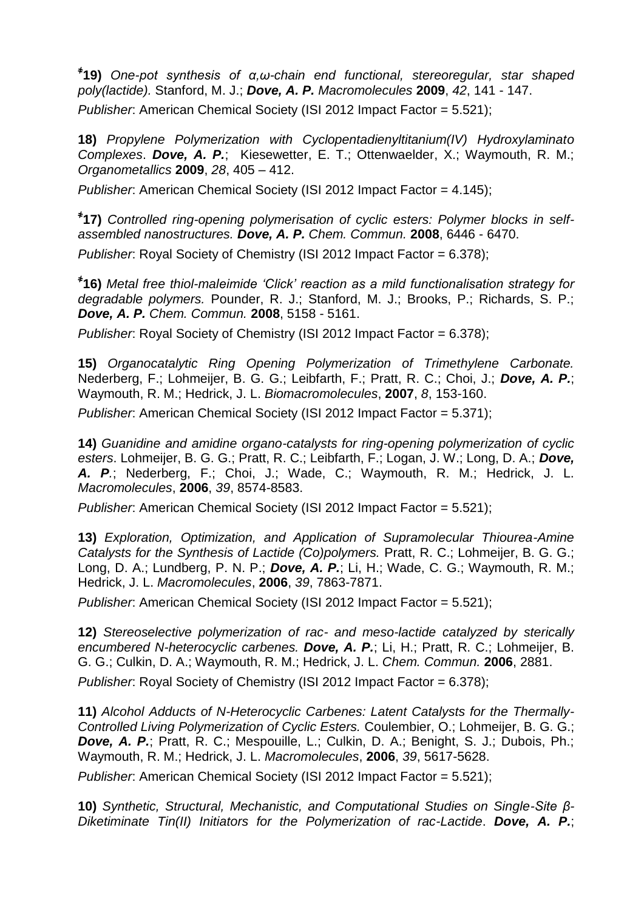**҂ 19)** *One-pot synthesis of α,ω-chain end functional, stereoregular, star shaped poly(lactide).* Stanford, M. J.; *Dove, A. P. Macromolecules* **2009**, *42*, 141 - 147. *Publisher*: American Chemical Society (ISI 2012 Impact Factor = 5.521);

**18)** *Propylene Polymerization with Cyclopentadienyltitanium(IV) Hydroxylaminato Complexes*. *Dove, A. P.*; Kiesewetter, E. T.; Ottenwaelder, X.; Waymouth, R. M.; *Organometallics* **2009**, *28*, 405 – 412.

*Publisher*: American Chemical Society (ISI 2012 Impact Factor = 4.145);

**҂ 17)** *Controlled ring-opening polymerisation of cyclic esters: Polymer blocks in selfassembled nanostructures. Dove, A. P. Chem. Commun.* **2008**, 6446 - 6470.

*Publisher*: Royal Society of Chemistry (ISI 2012 Impact Factor = 6.378):

**҂ 16)** *Metal free thiol-maleimide 'Click' reaction as a mild functionalisation strategy for degradable polymers.* Pounder, R. J.; Stanford, M. J.; Brooks, P.; Richards, S. P.; *Dove, A. P. Chem. Commun.* **2008**, 5158 - 5161.

*Publisher*: Royal Society of Chemistry (ISI 2012 Impact Factor = 6.378);

**15)** *Organocatalytic Ring Opening Polymerization of Trimethylene Carbonate.* Nederberg, F.; Lohmeijer, B. G. G.; Leibfarth, F.; Pratt, R. C.; Choi, J.; *Dove, A. P.*; Waymouth, R. M.; Hedrick, J. L. *Biomacromolecules*, **2007**, *8*, 153-160.

*Publisher*: American Chemical Society (ISI 2012 Impact Factor = 5.371);

**14)** *Guanidine and amidine organo-catalysts for ring-opening polymerization of cyclic esters*. Lohmeijer, B. G. G.; Pratt, R. C.; Leibfarth, F.; Logan, J. W.; Long, D. A.; *Dove, A. P.*; Nederberg, F.; Choi, J.; Wade, C.; Waymouth, R. M.; Hedrick, J. L. *Macromolecules*, **2006**, *39*, 8574-8583.

*Publisher*: American Chemical Society (ISI 2012 Impact Factor = 5.521);

**13)** *Exploration, Optimization, and Application of Supramolecular Thiourea-Amine Catalysts for the Synthesis of Lactide (Co)polymers.* Pratt, R. C.; Lohmeijer, B. G. G.; Long, D. A.; Lundberg, P. N. P.; *Dove, A. P.*; Li, H.; Wade, C. G.; Waymouth, R. M.; Hedrick, J. L. *Macromolecules*, **2006**, *39*, 7863-7871.

*Publisher*: American Chemical Society (ISI 2012 Impact Factor = 5.521);

**12)** *Stereoselective polymerization of rac- and meso-lactide catalyzed by sterically encumbered N-heterocyclic carbenes. Dove, A. P.*; Li, H.; Pratt, R. C.; Lohmeijer, B. G. G.; Culkin, D. A.; Waymouth, R. M.; Hedrick, J. L. *Chem. Commun.* **2006**, 2881.

*Publisher*: Royal Society of Chemistry (ISI 2012 Impact Factor = 6.378);

**11)** *Alcohol Adducts of N-Heterocyclic Carbenes: Latent Catalysts for the Thermally-Controlled Living Polymerization of Cyclic Esters.* Coulembier, O.; Lohmeijer, B. G. G.; *Dove, A. P.*; Pratt, R. C.; Mespouille, L.; Culkin, D. A.; Benight, S. J.; Dubois, Ph.; Waymouth, R. M.; Hedrick, J. L. *Macromolecules*, **2006**, *39*, 5617-5628.

*Publisher*: American Chemical Society (ISI 2012 Impact Factor = 5.521);

**10)** *Synthetic, Structural, Mechanistic, and Computational Studies on Single-Site β-Diketiminate Tin(II) Initiators for the Polymerization of rac-Lactide*. *Dove, A. P.*;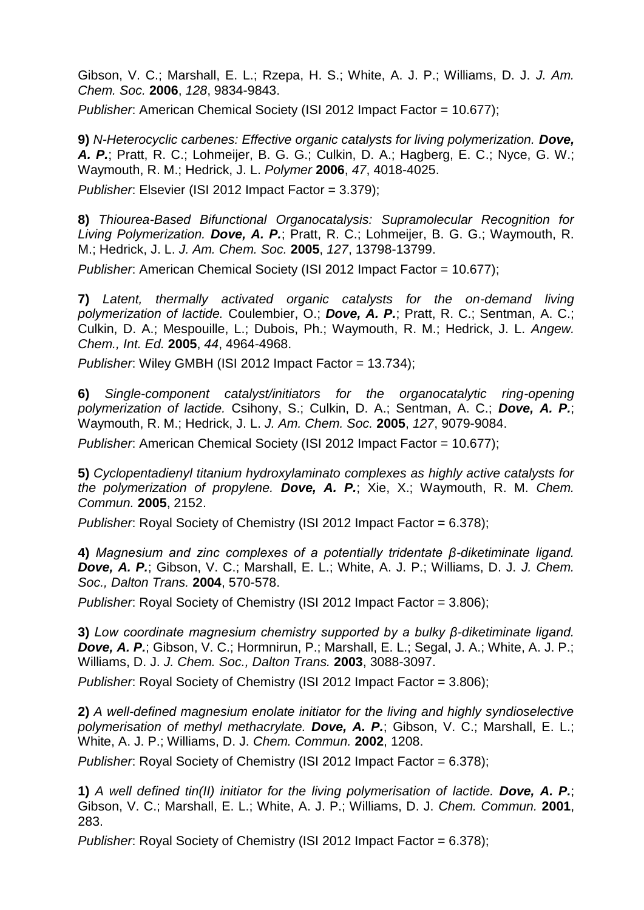Gibson, V. C.; Marshall, E. L.; Rzepa, H. S.; White, A. J. P.; Williams, D. J. *J. Am. Chem. Soc.* **2006**, *128*, 9834-9843.

*Publisher*: American Chemical Society (ISI 2012 Impact Factor = 10.677);

**9)** *N-Heterocyclic carbenes: Effective organic catalysts for living polymerization. Dove, A. P.*; Pratt, R. C.; Lohmeijer, B. G. G.; Culkin, D. A.; Hagberg, E. C.; Nyce, G. W.; Waymouth, R. M.; Hedrick, J. L. *Polymer* **2006**, *47*, 4018-4025.

*Publisher*: Elsevier (ISI 2012 Impact Factor = 3.379);

**8)** *Thiourea-Based Bifunctional Organocatalysis: Supramolecular Recognition for Living Polymerization. Dove, A. P.*; Pratt, R. C.; Lohmeijer, B. G. G.; Waymouth, R. M.; Hedrick, J. L. *J. Am. Chem. Soc.* **2005**, *127*, 13798-13799.

*Publisher*: American Chemical Society (ISI 2012 Impact Factor = 10.677);

**7)** *Latent, thermally activated organic catalysts for the on-demand living polymerization of lactide.* Coulembier, O.; *Dove, A. P.*; Pratt, R. C.; Sentman, A. C.; Culkin, D. A.; Mespouille, L.; Dubois, Ph.; Waymouth, R. M.; Hedrick, J. L. *Angew. Chem., Int. Ed.* **2005**, *44*, 4964-4968.

*Publisher*: Wiley GMBH (ISI 2012 Impact Factor = 13.734);

**6)** *Single-component catalyst/initiators for the organocatalytic ring-opening polymerization of lactide.* Csihony, S.; Culkin, D. A.; Sentman, A. C.; *Dove, A. P.*; Waymouth, R. M.; Hedrick, J. L. *J. Am. Chem. Soc.* **2005**, *127*, 9079-9084.

*Publisher*: American Chemical Society (ISI 2012 Impact Factor = 10.677);

**5)** *Cyclopentadienyl titanium hydroxylaminato complexes as highly active catalysts for the polymerization of propylene. Dove, A. P.*; Xie, X.; Waymouth, R. M. *Chem. Commun.* **2005**, 2152.

*Publisher*: Royal Society of Chemistry (ISI 2012 Impact Factor = 6.378);

**4)** *Magnesium and zinc complexes of a potentially tridentate β-diketiminate ligand. Dove, A. P.*; Gibson, V. C.; Marshall, E. L.; White, A. J. P.; Williams, D. J. *J. Chem. Soc., Dalton Trans.* **2004**, 570-578.

*Publisher*: Royal Society of Chemistry (ISI 2012 Impact Factor = 3.806);

**3)** *Low coordinate magnesium chemistry supported by a bulky β-diketiminate ligand. Dove, A. P.*; Gibson, V. C.; Hormnirun, P.; Marshall, E. L.; Segal, J. A.; White, A. J. P.; Williams, D. J. *J. Chem. Soc., Dalton Trans.* **2003**, 3088-3097.

*Publisher*: Royal Society of Chemistry (ISI 2012 Impact Factor = 3.806);

**2)** *A well-defined magnesium enolate initiator for the living and highly syndioselective polymerisation of methyl methacrylate. Dove, A. P.*; Gibson, V. C.; Marshall, E. L.; White, A. J. P.; Williams, D. J. *Chem. Commun.* **2002**, 1208.

*Publisher*: Royal Society of Chemistry (ISI 2012 Impact Factor = 6.378);

**1)** *A well defined tin(II) initiator for the living polymerisation of lactide. Dove, A. P.*; Gibson, V. C.; Marshall, E. L.; White, A. J. P.; Williams, D. J. *Chem. Commun.* **2001**, 283.

*Publisher*: Royal Society of Chemistry (ISI 2012 Impact Factor = 6.378);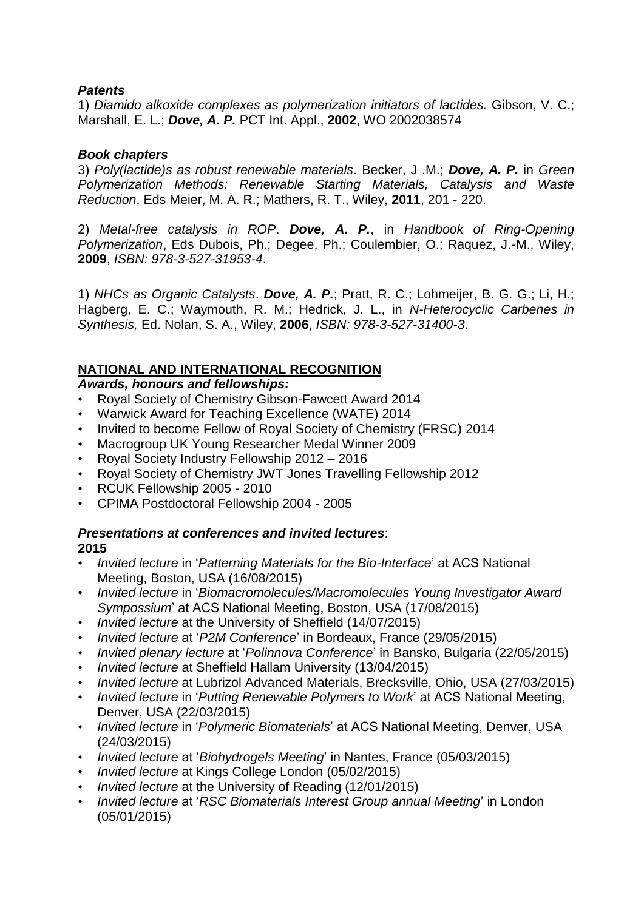### *Patents*

1) *Diamido alkoxide complexes as polymerization initiators of lactides.* Gibson, V. C.; Marshall, E. L.; *Dove, A. P.* PCT Int. Appl., **2002**, WO 2002038574

### *Book chapters*

3) *Poly(lactide)s as robust renewable materials*. Becker, J .M.; *Dove, A. P.* in *Green Polymerization Methods: Renewable Starting Materials, Catalysis and Waste Reduction*, Eds Meier, M. A. R.; Mathers, R. T., Wiley, **2011**, 201 - 220.

2) *Metal-free catalysis in ROP*. *Dove, A. P.*, in *Handbook of Ring-Opening Polymerization*, Eds Dubois, Ph.; Degee, Ph.; Coulembier, O.; Raquez, J.-M., Wiley, **2009**, *ISBN: 978-3-527-31953-4*.

1) *NHCs as Organic Catalysts*. *Dove, A. P.*; Pratt, R. C.; Lohmeijer, B. G. G.; Li, H.; Hagberg, E. C.; Waymouth, R. M.; Hedrick, J. L., in *N-Heterocyclic Carbenes in Synthesis,* Ed. Nolan, S. A., Wiley, **2006**, *ISBN: 978-3-527-31400-3*.

### **NATIONAL AND INTERNATIONAL RECOGNITION**

#### *Awards, honours and fellowships:*

- Royal Society of Chemistry Gibson-Fawcett Award 2014
- Warwick Award for Teaching Excellence (WATE) 2014
- Invited to become Fellow of Royal Society of Chemistry (FRSC) 2014
- Macrogroup UK Young Researcher Medal Winner 2009
- Royal Society Industry Fellowship 2012 2016
- Royal Society of Chemistry JWT Jones Travelling Fellowship 2012
- RCUK Fellowship 2005 2010
- CPIMA Postdoctoral Fellowship 2004 2005

# *Presentations at conferences and invited lectures*:

#### **2015**

- *Invited lecture* in '*Patterning Materials for the Bio-Interface*' at ACS National Meeting, Boston, USA (16/08/2015)
- *Invited lecture* in '*Biomacromolecules/Macromolecules Young Investigator Award Sympossium*' at ACS National Meeting, Boston, USA (17/08/2015)
- *Invited lecture* at the University of Sheffield (14/07/2015)
- *Invited lecture* at '*P2M Conference*' in Bordeaux, France (29/05/2015)
- *Invited plenary lecture* at '*Polinnova Conference*' in Bansko, Bulgaria (22/05/2015)
- *Invited lecture* at Sheffield Hallam University (13/04/2015)
- *Invited lecture* at Lubrizol Advanced Materials, Brecksville, Ohio, USA (27/03/2015)
- *Invited lecture* in '*Putting Renewable Polymers to Work*' at ACS National Meeting, Denver, USA (22/03/2015)
- *Invited lecture* in '*Polymeric Biomaterials*' at ACS National Meeting, Denver, USA (24/03/2015)
- *Invited lecture* at '*Biohydrogels Meeting*' in Nantes, France (05/03/2015)
- *Invited lecture* at Kings College London (05/02/2015)
- *Invited lecture* at the University of Reading (12/01/2015)
- *Invited lecture* at '*RSC Biomaterials Interest Group annual Meeting*' in London (05/01/2015)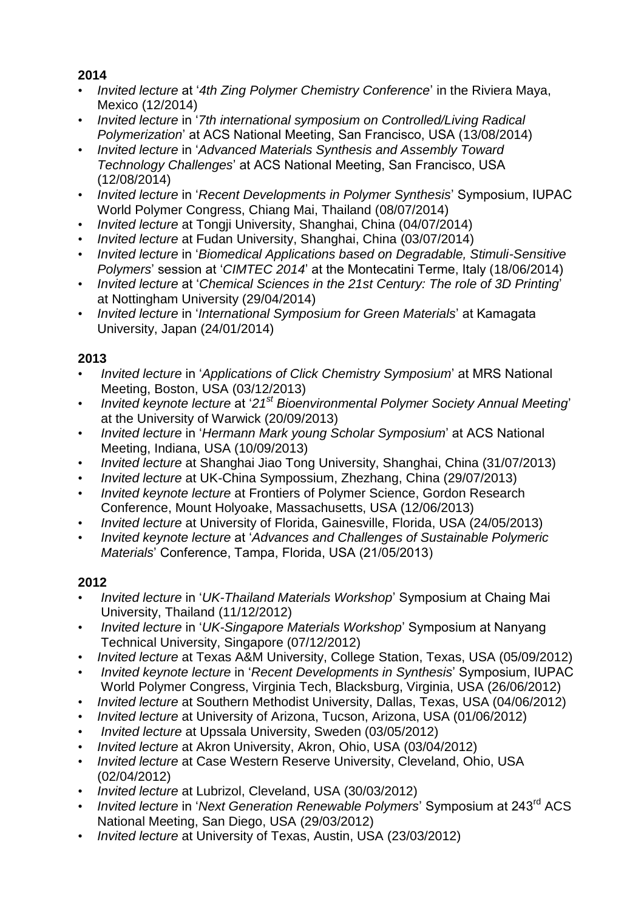# **2014**

- *Invited lecture* at '*4th Zing Polymer Chemistry Conference*' in the Riviera Maya, Mexico (12/2014)
- *Invited lecture* in '*7th international symposium on Controlled/Living Radical Polymerization*' at ACS National Meeting, San Francisco, USA (13/08/2014)
- *Invited lecture* in '*Advanced Materials Synthesis and Assembly Toward Technology Challenges*' at ACS National Meeting, San Francisco, USA (12/08/2014)
- *Invited lecture* in '*Recent Developments in Polymer Synthesis*' Symposium, IUPAC World Polymer Congress, Chiang Mai, Thailand (08/07/2014)
- *Invited lecture* at Tongji University, Shanghai, China (04/07/2014)
- *Invited lecture* at Fudan University, Shanghai, China (03/07/2014)
- *Invited lecture* in '*Biomedical Applications based on Degradable, Stimuli-Sensitive Polymers*' session at '*CIMTEC 2014*' at the Montecatini Terme, Italy (18/06/2014)
- *Invited lecture* at '*Chemical Sciences in the 21st Century: The role of 3D Printing*' at Nottingham University (29/04/2014)
- *Invited lecture* in '*International Symposium for Green Materials*' at Kamagata University, Japan (24/01/2014)

### **2013**

- *Invited lecture* in '*Applications of Click Chemistry Symposium*' at MRS National Meeting, Boston, USA (03/12/2013)
- *Invited keynote lecture* at '*21st Bioenvironmental Polymer Society Annual Meeting*' at the University of Warwick (20/09/2013)
- *Invited lecture* in '*Hermann Mark young Scholar Symposium*' at ACS National Meeting, Indiana, USA (10/09/2013)
- *Invited lecture* at Shanghai Jiao Tong University, Shanghai, China (31/07/2013)
- *Invited lecture* at UK-China Sympossium, Zhezhang, China (29/07/2013)
- *Invited keynote lecture* at Frontiers of Polymer Science, Gordon Research Conference, Mount Holyoake, Massachusetts, USA (12/06/2013)
- *Invited lecture* at University of Florida, Gainesville, Florida, USA (24/05/2013)
- *Invited keynote lecture* at '*Advances and Challenges of Sustainable Polymeric Materials*' Conference, Tampa, Florida, USA (21/05/2013)

# **2012**

- *Invited lecture* in '*UK-Thailand Materials Workshop*' Symposium at Chaing Mai University, Thailand (11/12/2012)
- *Invited lecture* in '*UK-Singapore Materials Workshop*' Symposium at Nanyang Technical University, Singapore (07/12/2012)
- *Invited lecture* at Texas A&M University, College Station, Texas, USA (05/09/2012)
- *Invited keynote lecture* in '*Recent Developments in Synthesis*' Symposium, IUPAC World Polymer Congress, Virginia Tech, Blacksburg, Virginia, USA (26/06/2012)
- *Invited lecture* at Southern Methodist University, Dallas, Texas, USA (04/06/2012)
- *Invited lecture* at University of Arizona, Tucson, Arizona, USA (01/06/2012)
- *Invited lecture* at Upssala University, Sweden (03/05/2012)
- *Invited lecture* at Akron University, Akron, Ohio, USA (03/04/2012)
- *Invited lecture* at Case Western Reserve University, Cleveland, Ohio, USA (02/04/2012)
- *Invited lecture* at Lubrizol, Cleveland, USA (30/03/2012)
- *Invited lecture* in '*Next Generation Renewable Polymers*' Symposium at 243rd ACS National Meeting, San Diego, USA (29/03/2012)
- *Invited lecture* at University of Texas, Austin, USA (23/03/2012)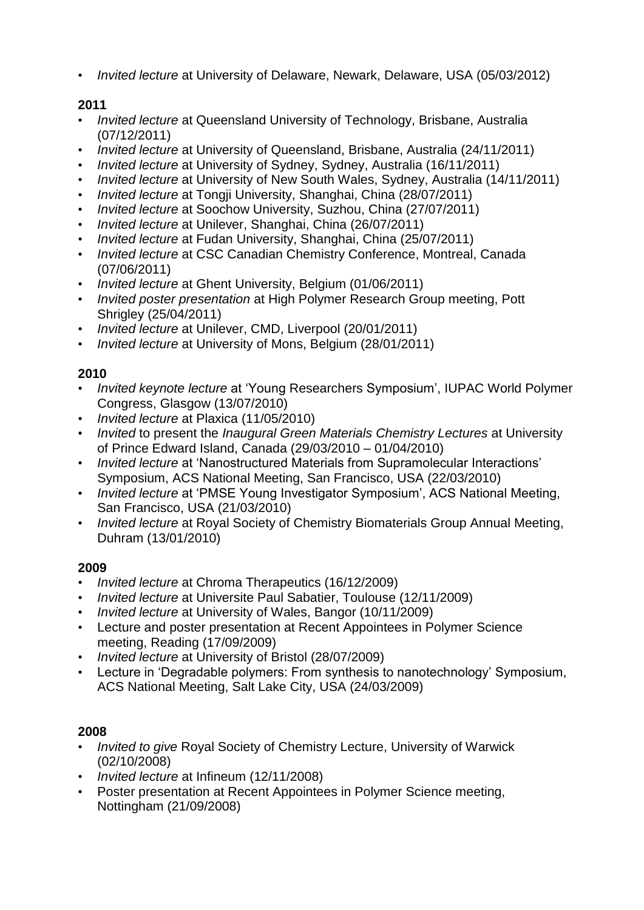• *Invited lecture* at University of Delaware, Newark, Delaware, USA (05/03/2012)

# **2011**

- *Invited lecture* at Queensland University of Technology, Brisbane, Australia (07/12/2011)
- *Invited lecture* at University of Queensland, Brisbane, Australia (24/11/2011)
- *Invited lecture* at University of Sydney, Sydney, Australia (16/11/2011)
- *Invited lecture* at University of New South Wales, Sydney, Australia (14/11/2011)
- *Invited lecture* at Tongji University, Shanghai, China (28/07/2011)
- *Invited lecture* at Soochow University, Suzhou, China (27/07/2011)
- *Invited lecture* at Unilever, Shanghai, China (26/07/2011)
- *Invited lecture* at Fudan University, Shanghai, China (25/07/2011)
- *Invited lecture* at CSC Canadian Chemistry Conference, Montreal, Canada (07/06/2011)
- *Invited lecture* at Ghent University, Belgium (01/06/2011)
- *Invited poster presentation* at High Polymer Research Group meeting, Pott Shrigley (25/04/2011)
- *Invited lecture* at Unilever, CMD, Liverpool (20/01/2011)
- *Invited lecture* at University of Mons, Belgium (28/01/2011)

# **2010**

- *Invited keynote lecture* at 'Young Researchers Symposium', IUPAC World Polymer Congress, Glasgow (13/07/2010)
- *Invited lecture* at Plaxica (11/05/2010)
- *Invited* to present the *Inaugural Green Materials Chemistry Lectures* at University of Prince Edward Island, Canada (29/03/2010 – 01/04/2010)
- *Invited lecture* at 'Nanostructured Materials from Supramolecular Interactions' Symposium, ACS National Meeting, San Francisco, USA (22/03/2010)
- *Invited lecture* at 'PMSE Young Investigator Symposium', ACS National Meeting, San Francisco, USA (21/03/2010)
- *Invited lecture* at Royal Society of Chemistry Biomaterials Group Annual Meeting, Duhram (13/01/2010)

# **2009**

- *Invited lecture* at Chroma Therapeutics (16/12/2009)
- *Invited lecture* at Universite Paul Sabatier, Toulouse (12/11/2009)
- *Invited lecture* at University of Wales, Bangor (10/11/2009)
- Lecture and poster presentation at Recent Appointees in Polymer Science meeting, Reading (17/09/2009)
- *Invited lecture* at University of Bristol (28/07/2009)
- Lecture in 'Degradable polymers: From synthesis to nanotechnology' Symposium, ACS National Meeting, Salt Lake City, USA (24/03/2009)

# **2008**

- *Invited to give* Royal Society of Chemistry Lecture, University of Warwick (02/10/2008)
- *Invited lecture* at Infineum (12/11/2008)
- Poster presentation at Recent Appointees in Polymer Science meeting, Nottingham (21/09/2008)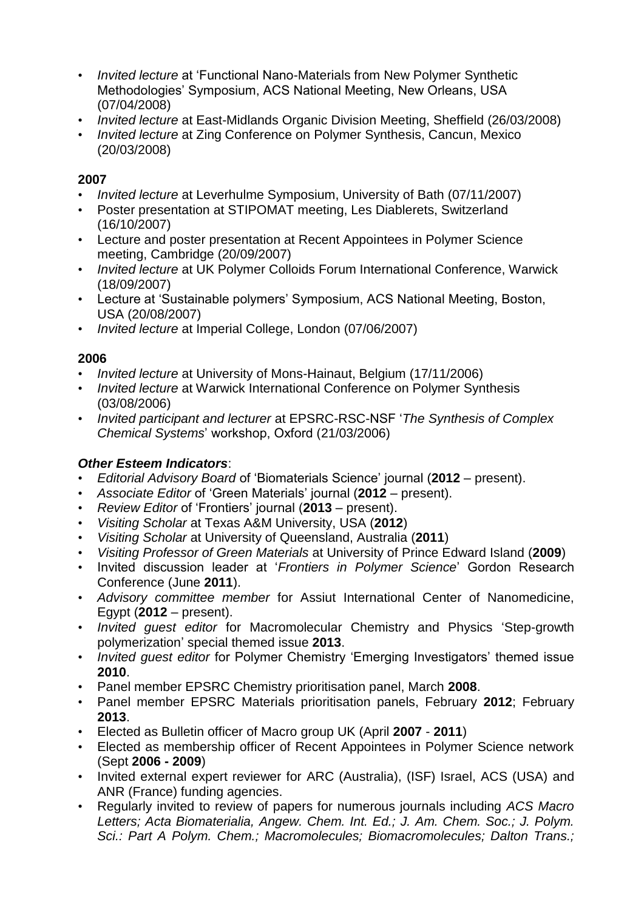- *Invited lecture* at 'Functional Nano-Materials from New Polymer Synthetic Methodologies' Symposium, ACS National Meeting, New Orleans, USA (07/04/2008)
- *Invited lecture* at East-Midlands Organic Division Meeting, Sheffield (26/03/2008)
- *Invited lecture* at Zing Conference on Polymer Synthesis, Cancun, Mexico (20/03/2008)

### **2007**

- *Invited lecture* at Leverhulme Symposium, University of Bath (07/11/2007)
- Poster presentation at STIPOMAT meeting, Les Diablerets, Switzerland (16/10/2007)
- Lecture and poster presentation at Recent Appointees in Polymer Science meeting, Cambridge (20/09/2007)
- *Invited lecture* at UK Polymer Colloids Forum International Conference, Warwick (18/09/2007)
- Lecture at 'Sustainable polymers' Symposium, ACS National Meeting, Boston, USA (20/08/2007)
- *Invited lecture* at Imperial College, London (07/06/2007)

### **2006**

- *Invited lecture* at University of Mons-Hainaut, Belgium (17/11/2006)
- *Invited lecture* at Warwick International Conference on Polymer Synthesis (03/08/2006)
- *Invited participant and lecturer* at EPSRC-RSC-NSF '*The Synthesis of Complex Chemical Systems*' workshop, Oxford (21/03/2006)

# *Other Esteem Indicators*:

- *Editorial Advisory Board* of 'Biomaterials Science' journal (**2012** present).
- *Associate Editor* of 'Green Materials' journal (**2012** present).
- *Review Editor* of 'Frontiers' journal (**2013** present).
- *Visiting Scholar* at Texas A&M University, USA (**2012**)
- *Visiting Scholar* at University of Queensland, Australia (**2011**)
- *Visiting Professor of Green Materials* at University of Prince Edward Island (**2009**)
- Invited discussion leader at '*Frontiers in Polymer Science*' Gordon Research Conference (June **2011**).
- *Advisory committee member* for Assiut International Center of Nanomedicine, Egypt (**2012** – present).
- *Invited guest editor* for Macromolecular Chemistry and Physics 'Step-growth polymerization' special themed issue **2013**.
- *Invited guest editor* for Polymer Chemistry 'Emerging Investigators' themed issue **2010**.
- Panel member EPSRC Chemistry prioritisation panel, March **2008**.
- Panel member EPSRC Materials prioritisation panels, February **2012**; February **2013**.
- Elected as Bulletin officer of Macro group UK (April **2007 2011**)
- Elected as membership officer of Recent Appointees in Polymer Science network (Sept **2006 - 2009**)
- Invited external expert reviewer for ARC (Australia), (ISF) Israel, ACS (USA) and ANR (France) funding agencies.
- Regularly invited to review of papers for numerous journals including *ACS Macro Letters; Acta Biomaterialia, Angew. Chem. Int. Ed.; J. Am. Chem. Soc.; J. Polym. Sci.: Part A Polym. Chem.; Macromolecules; Biomacromolecules; Dalton Trans.;*